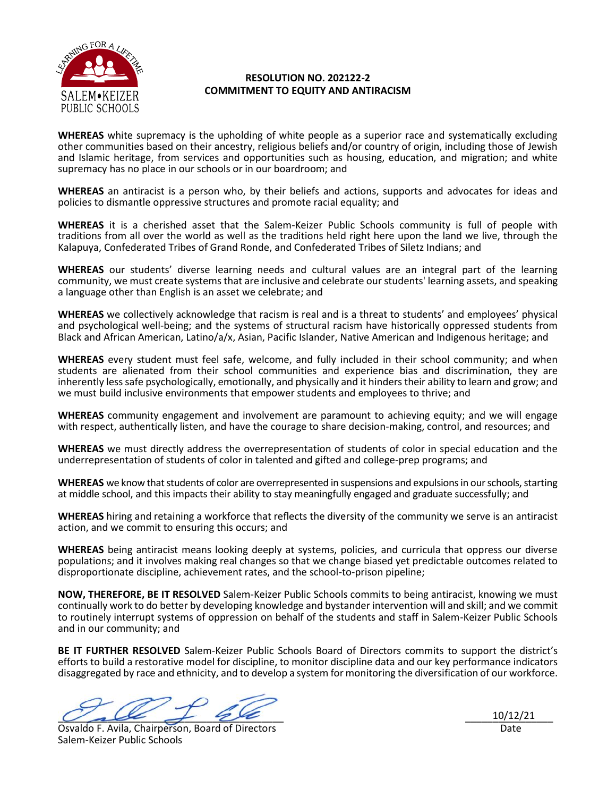

## **RESOLUTION NO. 202122-2 COMMITMENT TO EQUITY AND ANTIRACISM**

**WHEREAS** white supremacy is the upholding of white people as a superior race and systematically excluding other communities based on their ancestry, religious beliefs and/or country of origin, including those of Jewish and Islamic heritage, from services and opportunities such as housing, education, and migration; and white supremacy has no place in our schools or in our boardroom; and

**WHEREAS** an antiracist is a person who, by their beliefs and actions, supports and advocates for ideas and policies to dismantle oppressive structures and promote racial equality; and

**WHEREAS** it is a cherished asset that the Salem-Keizer Public Schools community is full of people with traditions from all over the world as well as the traditions held right here upon the land we live, through the Kalapuya, Confederated Tribes of Grand Ronde, and Confederated Tribes of Siletz Indians; and

**WHEREAS** our students' diverse learning needs and cultural values are an integral part of the learning community, we must create systems that are inclusive and celebrate our students' learning assets, and speaking a language other than English is an asset we celebrate; and

**WHEREAS** we collectively acknowledge that racism is real and is a threat to students' and employees' physical and psychological well-being; and the systems of structural racism have historically oppressed students from Black and African American, Latino/a/x, Asian, Pacific Islander, Native American and Indigenous heritage; and

**WHEREAS** every student must feel safe, welcome, and fully included in their school community; and when students are alienated from their school communities and experience bias and discrimination, they are inherently less safe psychologically, emotionally, and physically and it hinders their ability to learn and grow; and we must build inclusive environments that empower students and employees to thrive; and

**WHEREAS** community engagement and involvement are paramount to achieving equity; and we will engage with respect, authentically listen, and have the courage to share decision-making, control, and resources; and

**WHEREAS** we must directly address the overrepresentation of students of color in special education and the underrepresentation of students of color in talented and gifted and college-prep programs; and

**WHEREAS** we know that students of color are overrepresented in suspensions and expulsions in our schools, starting at middle school, and this impacts their ability to stay meaningfully engaged and graduate successfully; and

**WHEREAS** hiring and retaining a workforce that reflects the diversity of the community we serve is an antiracist action, and we commit to ensuring this occurs; and

**WHEREAS** being antiracist means looking deeply at systems, policies, and curricula that oppress our diverse populations; and it involves making real changes so that we change biased yet predictable outcomes related to disproportionate discipline, achievement rates, and the school-to-prison pipeline;

**NOW, THEREFORE, BE IT RESOLVED** Salem-Keizer Public Schools commits to being antiracist, knowing we must continually work to do better by developing knowledge and bystander intervention will and skill; and we commit to routinely interrupt systems of oppression on behalf of the students and staff in Salem-Keizer Public Schools and in our community; and

**BE IT FURTHER RESOLVED** Salem-Keizer Public Schools Board of Directors commits to support the district's efforts to build a restorative model for discipline, to monitor discipline data and our key performance indicators disaggregated by race and ethnicity, and to develop a system for monitoring the diversification of our workforce.

 $\vee$  all  $\neq$  22

Osvaldo F. Avila, Chairperson, Board of Directors Salem-Keizer Public Schools

 $\frac{10/12/21}{2}$ Date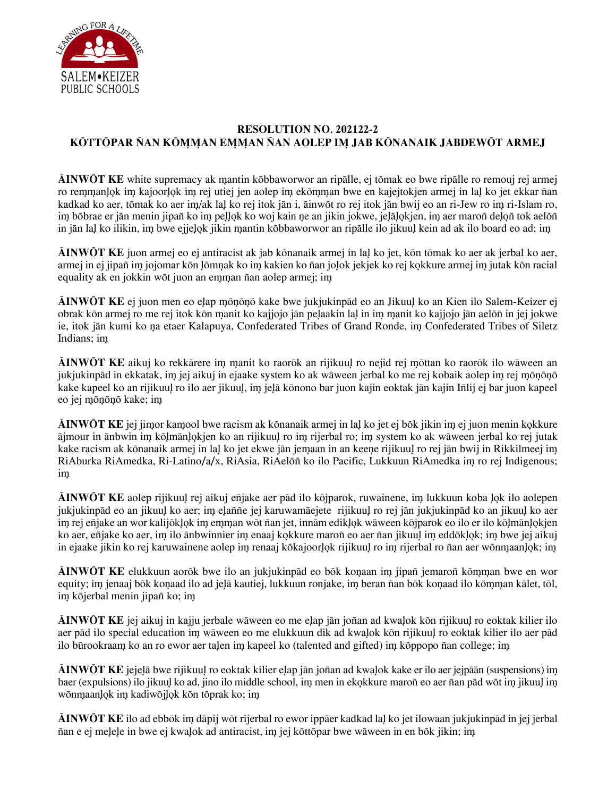

## **RESOLUTION NO. 202122-2 KO|TTO|PAR N|AN KO|M%M%AN EM%M%AN N|AN AOLEP IM% JAB KONANAIK JABD | EWO|T ARMEJ**

**AINWOT KE** white supremacy ak mantin kobbaworwor an ripalle, ej tomak eo bwe ripalle ro remouj rej armej ro remmanlok im kajoorlok im rej utiej jen aolep im ekomman bwe en kajejtokjen armej in lal ko jet ekkar nan kadkad ko aer, tōmak ko aer im/ak lal ko rej itok jān i, āinwōt ro rej itok jān bwij eo an ri-Jew ro im ri-Islam ro, im bobrae er jan menin jipan ko im pellok ko woj kain ne an jikin jokwe, jelalokjen, im aer maron delon tok aelon in jan lal ko ilikin, im bwe ejjelok jikin mantin kobbaworwor an ripalle ilo jikuul kein ad ak ilo board eo ad; im

**AINWOT KE** juon armej eo ej antiracist ak jab kōnanaik armej in lal ko jet, kōn tōmak ko aer ak jerbal ko aer, armej in ej jipan im jojomar kon lomnak ko im kakien ko nan jolok jekjek ko rej kokkure armej im jutak kon racial equality ak en jokkin wōt juon an emman nan aolep armej; im

**AINWOT KE** ej juon men eo elap mōnōnō kake bwe jukjukinpād eo an Jikuul ko an Kien ilo Salem-Keizer ej obrak kōn armej ro me rej itok kōn manit ko kajjojo jān pelaakin lal in im manit ko kajjojo jān aelōñ in jej jokwe ie, itok jān kumi ko na etaer Kalapuya, Confederated Tribes of Grand Ronde, im Confederated Tribes of Siletz Indians; im

**AINWOT KE** aikuj ko rekkatrere im manit ko raorok an rijikuul ro nejid rej mottan ko raorok ilo waween an jukjukinpād in ekkatak, im jej aikuj in ejaake system ko ak wāween jerbal ko me rej kobaik aolep im rej mōnōnō kake kapeel ko an rijikuul ro ilo aer jikuul, im jelā konono bar juon kajin eoktak jan kajin Inlij ej bar juon kapeel eo jej mōnōnō kake; im

**AINWOT KE** jej jimor kamool bwe racism ak kōnanaik armej in lal ko jet ej bōk jikin im ej juon menin kokkure ājmour in ānbwin im koļmānļo kjen ko an rijikuul ro im rijerbal ro; im system ko ak wāween jerbal ko rej jutak kake racism ak kōnanaik armej in lal ko jet ekwe jān jemaan in an keene rijikuul ro rej jān bwij in Rikkilmeej im RiAburka RiAmedka, Ri-Latino/a/x, RiAsia, RiAelond ko ilo Pacific, Lukkuun RiAmedka im ro rej Indigenous; im%

**AINWOT KE** aolep rijikuul rej aikuj enjake aer pad ilo kojparok, ruwainene, im lukkuun koba lok ilo aolepen jukjukinpād eo an jikuul ko aer; im elaññe jej karuwamāejete rijikuul ro rej jān jukjukinpād ko an jikuul ko aer im rej enjake an wor kalijoklok im emman wot nan jet, innam ediklok waween kojparok eo ilo er ilo kolmanlokjen ko aer, eñjake ko aer, im ilo ānbwinnier im enaaj kokkure maroñ eo aer ñan jikuul im eddōklok; im bwe jej aikuj in ejaake jikin ko rej karuwainene aolep im renaaj kokajoorlok rijikuul ro im rijerbal ro nan aer wonmaanlok; im

**AINWOT KE** elukkuun aorōk bwe ilo an jukjukinpād eo bōk konaan im jipan jemaron kōmman bwe en wor equity; im jenaaj bōk konaad ilo ad jelā kautiej, lukkuun ronjake, im beran nan bōk konaad ilo kōmman kālet, tōl, im kõjerbal menin jipan ko; im

**AINWOT KE** jej aikuj in kajju jerbale wāween eo me elap jān jonan ad kwalok kōn rijikuul ro eoktak kilier ilo aer pād ilo special education im wāween eo me elukkuun dik ad kwalok kon rijikuul ro eoktak kilier ilo aer pād ilo būrookraam ko an ro ewor aer talen im kapeel ko (talented and gifted) im kot popopo nan college; im

 $\overline{\bf A}$ **INWOT KE** jejelā bwe rijikuul ro eoktak kilier elap jān jonan ad kwalok kake er ilo aer jejpāān (suspensions) im baer (expulsions) ilo jikuul ko ad, jino ilo middle school, im men in ekokkure maron eo aer nan pad wot im jikuul im wōnmaanlok im kadiwōjlok kōn tōprak ko; im

**AINWOT KE** ilo ad ebbot im dapij wot rijerbal ro ewor ippaer kadkad lal ko jet ilowaan jukjukinpad in jej jerbal nan e ej melele in bwe ej kwalok ad antiracist, im jej kottopar bwe waween in en bok jikin; im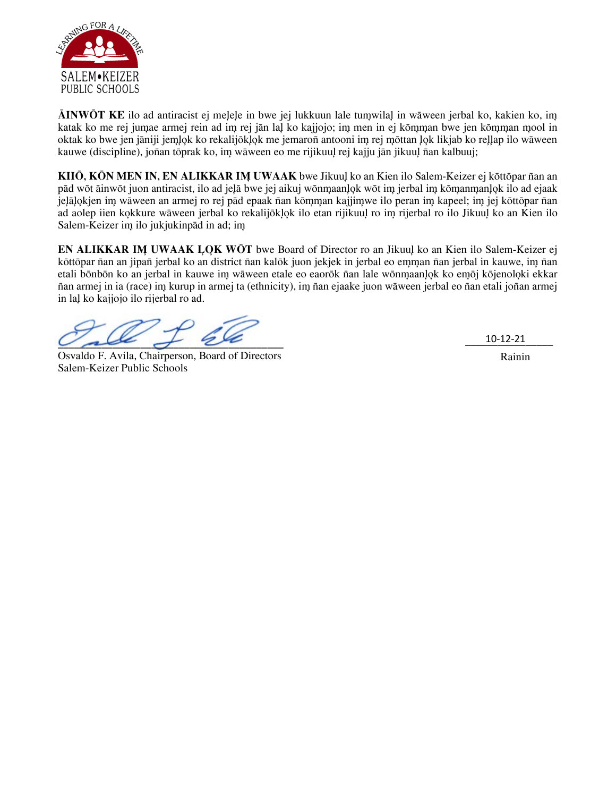

**AINWOT KE** ilo ad antiracist ej melele in bwe jej lukkuun lale tumwilal in wāween jerbal ko, kakien ko, im katak ko me rej jumae armej rein ad im rej jān laļ ko kajjojo; im men in ej kōmman bwe jen kōmman mool in oktak ko bwe jen jāniji jem lok ko rekalijoklo k me jemaron antooni im rej mottan lok likjab ko rellap ilo wāween kauwe (discipline), jonan toprak ko, im waween eo me rijikuul rej kajju jan jikuul nan kalbuuj;

**KIIŌ, KŌN MEN IN, EN ALIKKAR IM UWAAK** bwe Jikuul ko an Kien ilo Salem-Keizer ej kōttōpar nan an pād wōt āinwōt juon antiracist, ilo ad jeļā bwe jej aikuj wōnmaanlok wōt im jerbal im kōmanmanlok ilo ad ejaak jelāļokjen im wāween an armej ro rej pād epaak nāan komman kajjim we ilo peran im kapeel; im jej kottopar nan ad aolep iien kokkure wāween jerbal ko rekalijōklok ilo etan rijikuul ro im rijerbal ro ilo Jikuul ko an Kien ilo Salem-Keizer im ilo jukjukinpād in ad; im

**EN ALIKKAR IM UWAAK LOK WOT** bwe Board of Director ro an Jikuul ko an Kien ilo Salem-Keizer ej kōttōpar n̄an an jipan jerbal ko an district n̄an kalōk juon jekjek in jerbal eo emman n̄an jerbal in kauwe, im n̄an etali bōnbōn ko an jerbal in kauwe im wāween etale eo eaorōk nan lale wōnmaanlok ko emōj kōjenoloki ekkar nan armej in ia (race) im kurup in armej ta (ethnicity), im nan ejaake juon waween jerbal eo nan etali jonan armej in lal ko kajjojo ilo rijerbal ro ad.

 $\vee$  all  $\neq$  22

Osvaldo F. Avila, Chairperson, Board of Directors Salem-Keizer Public Schools

\_\_\_\_\_\_\_\_\_\_\_\_\_\_\_\_ 10-12-21

Rainin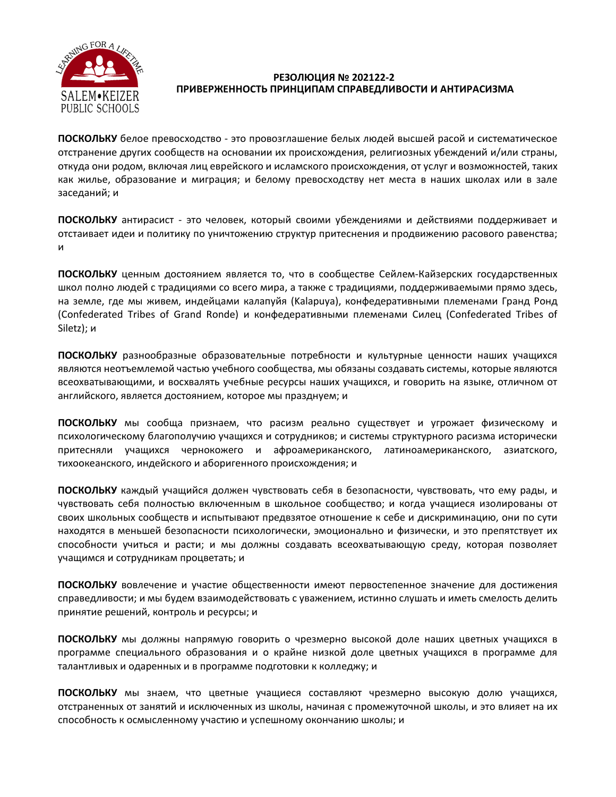

## РЕЗОЛЮЦИЯ № 202122-2 ПРИВЕРЖЕННОСТЬ ПРИНЦИПАМ СПРАВЕДЛИВОСТИ И АНТИРАСИЗМА

ПОСКОЛЬКУ белое превосходство - это провозглашение белых людей высшей расой и систематическое отстранение других сообществ на основании их происхождения, религиозных убеждений и/или страны, откуда они родом, включая лиц еврейского и исламского происхождения, от услуг и возможностей, таких как жилье, образование и миграция; и белому превосходству нет места в наших школах или в зале заседаний; и

ПОСКОЛЬКУ антирасист - это человек, который своими убеждениями и действиями поддерживает и отстаивает идеи и политику по уничтожению структур притеснения и продвижению расового равенства; и

ПОСКОЛЬКУ ценным достоянием является то, что в сообществе Сейлем-Кайзерских государственных школ полно людей с традициями со всего мира, а также с традициями, поддерживаемыми прямо здесь, на земле, где мы живем, индейцами калапуйя (Kalapuya), конфедеративными племенами Гранд Ронд (Confederated Tribes of Grand Ronde) и конфедеративными племенами Силец (Confederated Tribes of Siletz); и

ПОСКОЛЬКУ разнообразные образовательные потребности и культурные ценности наших учащихся являются неотъемлемой частью учебного сообщества, мы обязаны создавать системы, которые являются всеохватывающими, и восхвалять учебные ресурсы наших учащихся, и говорить на языке, отличном от английского, является достоянием, которое мы празднуем; и

ПОСКОЛЬКУ мы сообща признаем, что расизм реально существует и угрожает физическому и психологическому благополучию учащихся и сотрудников; и системы структурного расизма исторически притесняли учащихся чернокожего и афроамериканского, латиноамериканского, азиатского, тихоокеанского, индейского и аборигенного происхождения; и

ПОСКОЛЬКУ каждый учащийся должен чувствовать себя в безопасности, чувствовать, что ему рады, и чувствовать себя полностью включенным в школьное сообщество; и когда учащиеся изолированы от своих школьных сообществ и испытывают предвзятое отношение к себе и дискриминацию, они по сути находятся в меньшей безопасности психологически, эмоционально и физически, и это препятствует их способности учиться и расти; и мы должны создавать всеохватывающую среду, которая позволяет учащимся и сотрудникам процветать; и

ПОСКОЛЬКУ вовлечение и участие общественности имеют первостепенное значение для достижения справедливости; и мы будем взаимодействовать с уважением, истинно слушать и иметь смелость делить принятие решений, контроль и ресурсы; и

ПОСКОЛЬКУ мы должны напрямую говорить о чрезмерно высокой доле наших цветных учащихся в программе специального образования и о крайне низкой доле цветных учащихся в программе для талантливых и одаренных и в программе подготовки к колледжу; и

ПОСКОЛЬКУ мы знаем, что цветные учащиеся составляют чрезмерно высокую долю учащихся, отстраненных от занятий и исключенных из школы, начиная с промежуточной школы, и это влияет на их способность к осмысленному участию и успешному окончанию школы; и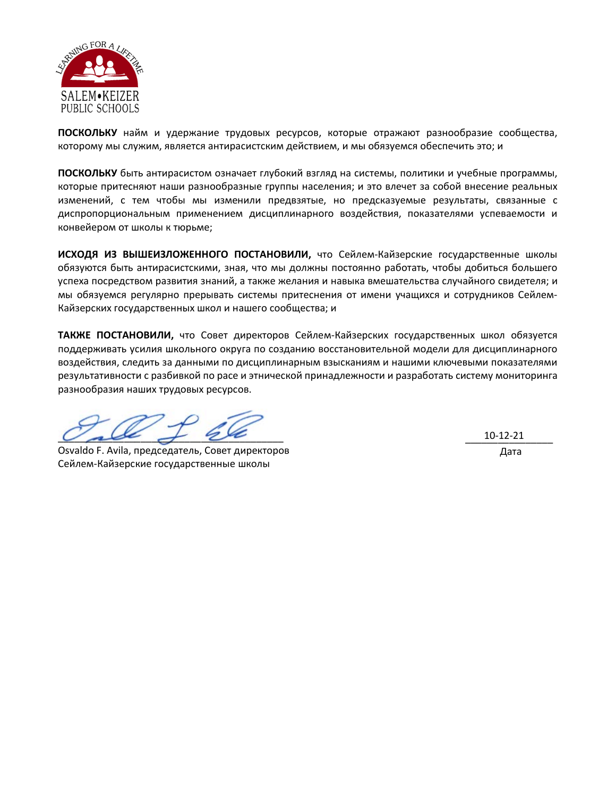

ПОСКОЛЬКУ найм и удержание трудовых ресурсов, которые отражают разнообразие сообщества, которому мы служим, является антирасистским действием, и мы обязуемся обеспечить это; и

ПОСКОЛЬКУ быть антирасистом означает глубокий взгляд на системы, политики и учебные программы, которые притесняют наши разнообразные группы населения; и это влечет за собой внесение реальных изменений, с тем чтобы мы изменили предвзятые, но предсказуемые результаты, связанные с диспропорциональным применением дисциплинарного воздействия, показателями успеваемости и конвейером от школы к тюрьме;

ИСХОДЯ ИЗ ВЫШЕИЗЛОЖЕННОГО ПОСТАНОВИЛИ, что Сейлем-Кайзерские государственные школы обязуются быть антирасистскими, зная, что мы должны постоянно работать, чтобы добиться большего успеха посредством развития знаний, а также желания и навыка вмешательства случайного свидетеля; и мы обязуемся регулярно прерывать системы притеснения от имени учащихся и сотрудников Сейлем-Кайзерских государственных школ и нашего сообщества; и

ТАКЖЕ ПОСТАНОВИЛИ, что Совет директоров Сейлем-Кайзерских государственных школ обязуется поддерживать усилия школьного округа по созданию восстановительной модели для дисциплинарного воздействия, следить за данными по дисциплинарным взысканиям и нашими ключевыми показателями результативности с разбивкой по расе и этнической принадлежности и разработать систему мониторинга разнообразия наших трудовых ресурсов.

Osvaldo F. Avila, председатель, Совет директоров Сейлем-Кайзерские государственные школы

10-12-21 Дата